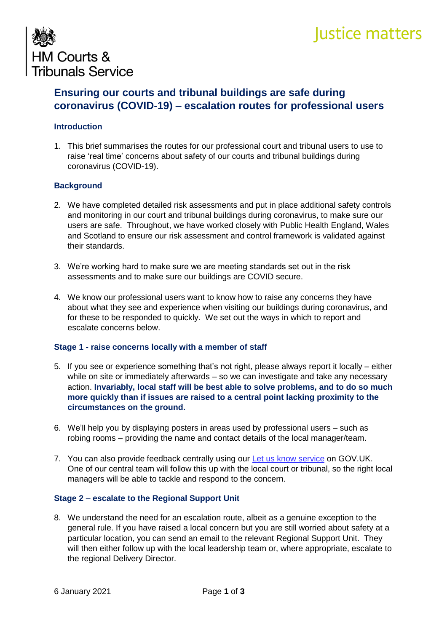# Justice matters



# **Ensuring our courts and tribunal buildings are safe during coronavirus (COVID-19) – escalation routes for professional users**

# **Introduction**

1. This brief summarises the routes for our professional court and tribunal users to use to raise 'real time' concerns about safety of our courts and tribunal buildings during coronavirus (COVID-19).

# **Background**

- 2. We have completed detailed risk assessments and put in place additional safety controls and monitoring in our court and tribunal buildings during coronavirus, to make sure our users are safe. Throughout, we have worked closely with Public Health England, Wales and Scotland to ensure our risk assessment and control framework is validated against their standards.
- 3. We're working hard to make sure we are meeting standards set out in the risk assessments and to make sure our buildings are COVID secure.
- 4. We know our professional users want to know how to raise any concerns they have about what they see and experience when visiting our buildings during coronavirus, and for these to be responded to quickly. We set out the ways in which to report and escalate concerns below.

#### **Stage 1 - raise concerns locally with a member of staff**

- 5. If you see or experience something that's not right, please always report it locally either while on site or immediately afterwards – so we can investigate and take any necessary action. **Invariably, local staff will be best able to solve problems, and to do so much more quickly than if issues are raised to a central point lacking proximity to the circumstances on the ground.**
- 6. We'll help you by displaying posters in areas used by professional users such as robing rooms – providing the name and contact details of the local manager/team.
- 7. You can also provide feedback centrally using our [Let us know service](https://let-us-know.form.service.justice.gov.uk/) on GOV.UK. One of our central team will follow this up with the local court or tribunal, so the right local managers will be able to tackle and respond to the concern.

#### **Stage 2 – escalate to the Regional Support Unit**

8. We understand the need for an escalation route, albeit as a genuine exception to the general rule. If you have raised a local concern but you are still worried about safety at a particular location, you can send an email to the relevant Regional Support Unit. They will then either follow up with the local leadership team or, where appropriate, escalate to the regional Delivery Director.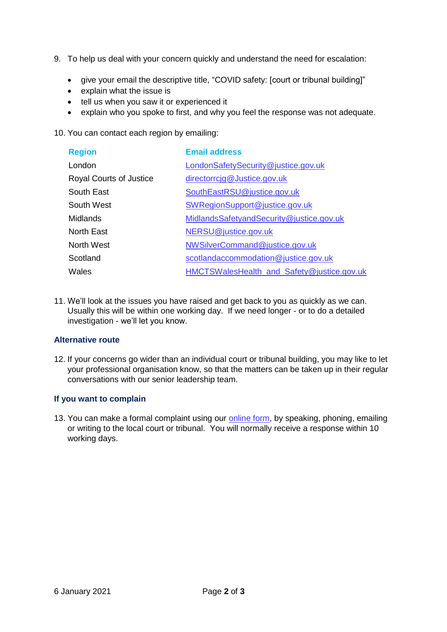- 9. To help us deal with your concern quickly and understand the need for escalation:
	- give your email the descriptive title, "COVID safety: [court or tribunal building]"
	- explain what the issue is
	- tell us when you saw it or experienced it
	- explain who you spoke to first, and why you feel the response was not adequate.
- 10. You can contact each region by emailing:

| <b>Region</b>                  | <b>Email address</b>                       |
|--------------------------------|--------------------------------------------|
| London                         | LondonSafetySecurity@justice.gov.uk        |
| <b>Royal Courts of Justice</b> | directorrcig@Justice.gov.uk                |
| South East                     | SouthEastRSU@justice.gov.uk                |
| South West                     | SWRegionSupport@justice.gov.uk             |
| Midlands                       | MidlandsSafetyandSecurity@justice.gov.uk   |
| North East                     | NERSU@justice.gov.uk                       |
| North West                     | NWSilverCommand@justice.gov.uk             |
| Scotland                       | scotlandaccommodation@justice.gov.uk       |
| Wales                          | HMCTSWalesHealth_and_Safety@justice.gov.uk |

11. We'll look at the issues you have raised and get back to you as quickly as we can. Usually this will be within one working day. If we need longer - or to do a detailed investigation - we'll let you know.

# **Alternative route**

12. If your concerns go wider than an individual court or tribunal building, you may like to let your professional organisation know, so that the matters can be taken up in their regular conversations with our senior leadership team.

# **If you want to complain**

13. You can make a formal complaint using our [online form,](mailto:https://www.gov.uk/government/organisations/hm-courts-and-tribunals-service/about/complaints-procedure) by speaking, phoning, emailing or writing to the local court or tribunal. You will normally receive a response within 10 working days.